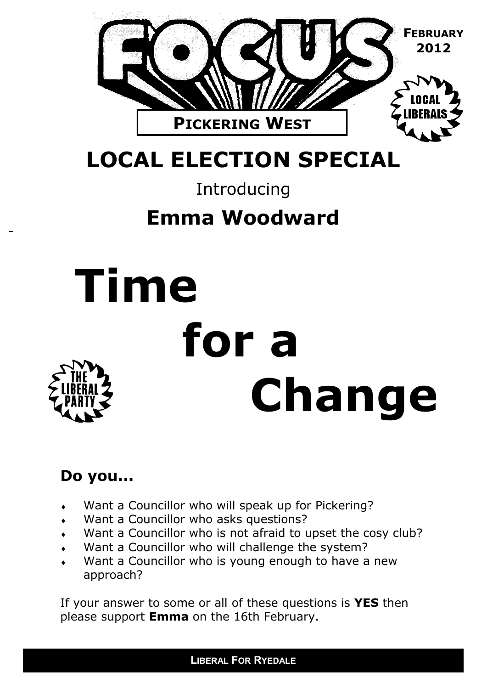

### **LOCAL ELECTION SPECIAL**

### Introducing

### **Emma Woodward**

# **Time for a Change**

#### **Do you...**

- Want a Councillor who will speak up for Pickering?
- Want a Councillor who asks questions?
- Want a Councillor who is not afraid to upset the cosy club?
- Want a Councillor who will challenge the system?
- Want a Councillor who is young enough to have a new approach?

If your answer to some or all of these questions is **YES** then please support **Emma** on the 16th February.

**LIBERAL FOR RYEDALE**